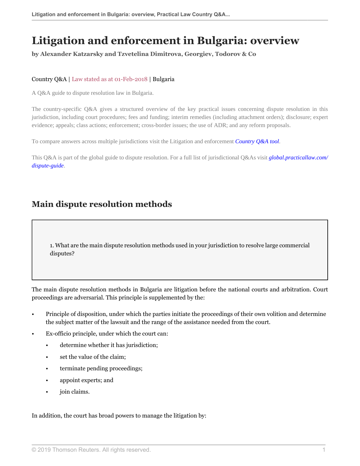# **Litigation and enforcement in Bulgaria: overview**

**by Alexander Katzarsky and Tzvetelina Dimitrova, Georgiev, Todorov & Co**

# Country Q&A | Law stated as at 01-Feb-2018 | Bulgaria

A Q&A guide to dispute resolution law in Bulgaria.

The country-specific Q&A gives a structured overview of the key practical issues concerning dispute resolution in this jurisdiction, including court procedures; fees and funding; interim remedies (including attachment orders); disclosure; expert evidence; appeals; class actions; enforcement; cross-border issues; the use of ADR; and any reform proposals.

To compare answers across multiple jurisdictions visit the Litigation and enforcement *[Country Q&A tool](https://uk.practicallaw.thomsonreuters.com/QACompare/Builder/Country?transitionType=Default&contextData=(sc.Default)#/questions )*.

This Q&A is part of the global guide to dispute resolution. For a full list of jurisdictional Q&As visit *[global.practicallaw.com/](https://uk.practicallaw.thomsonreuters.com/Browse/Home/International/DisputeResolutionGlobalGuide?transitionType=Default&contextData=(sc.Default) ) [dispute-guide](https://uk.practicallaw.thomsonreuters.com/Browse/Home/International/DisputeResolutionGlobalGuide?transitionType=Default&contextData=(sc.Default) )*.

# **Main dispute resolution methods**

<span id="page-0-0"></span>1. What are the main dispute resolution methods used in your jurisdiction to resolve large commercial disputes?

The main dispute resolution methods in Bulgaria are litigation before the national courts and arbitration. Court proceedings are adversarial. This principle is supplemented by the:

- Principle of disposition, under which the parties initiate the proceedings of their own volition and determine the subject matter of the lawsuit and the range of the assistance needed from the court.
- Ex-officio principle, under which the court can:
	- determine whether it has jurisdiction;
	- set the value of the claim;
	- terminate pending proceedings;
	- appoint experts; and
	- join claims.

In addition, the court has broad powers to manage the litigation by: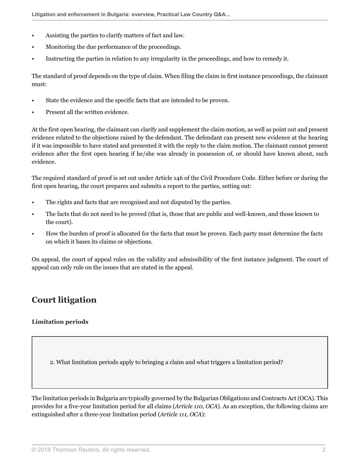- Assisting the parties to clarify matters of fact and law.
- Monitoring the due performance of the proceedings.
- Instructing the parties in relation to any irregularity in the proceedings, and how to remedy it.

The standard of proof depends on the type of claim. When filing the claim in first instance proceedings, the claimant must:

- State the evidence and the specific facts that are intended to be proven.
- Present all the written evidence.

At the first open hearing, the claimant can clarify and supplement the claim motion, as well as point out and present evidence related to the objections raised by the defendant. The defendant can present new evidence at the hearing if it was impossible to have stated and presented it with the reply to the claim motion. The claimant cannot present evidence after the first open hearing if he/she was already in possession of, or should have known about, such evidence.

The required standard of proof is set out under Article 146 of the Civil Procedure Code. Either before or during the first open hearing, the court prepares and submits a report to the parties, setting out:

- The rights and facts that are recognised and not disputed by the parties.
- The facts that do not need to be proved (that is, those that are public and well-known, and those known to the court).
- How the burden of proof is allocated for the facts that must be proven. Each party must determine the facts on which it bases its claims or objections.

On appeal, the court of appeal rules on the validity and admissibility of the first instance judgment. The court of appeal can only rule on the issues that are stated in the appeal.

# **Court litigation**

# **Limitation periods**

2. What limitation periods apply to bringing a claim and what triggers a limitation period?

The limitation periods in Bulgaria are typically governed by the Bulgarian Obligations and Contracts Act (OCA). This provides for a five-year limitation period for all claims (*Article 110, OCA*). As an exception, the following claims are extinguished after a three-year limitation period (*Article 111, OCA*):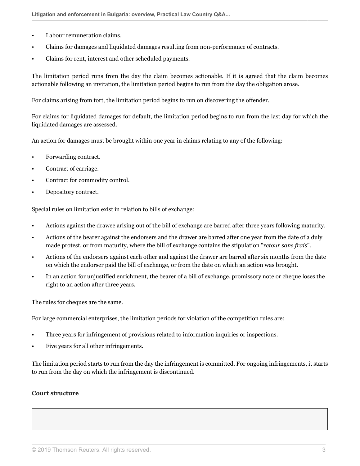- Labour remuneration claims.
- Claims for damages and liquidated damages resulting from non-performance of contracts.
- Claims for rent, interest and other scheduled payments.

The limitation period runs from the day the claim becomes actionable. If it is agreed that the claim becomes actionable following an invitation, the limitation period begins to run from the day the obligation arose.

For claims arising from tort, the limitation period begins to run on discovering the offender.

For claims for liquidated damages for default, the limitation period begins to run from the last day for which the liquidated damages are assessed.

An action for damages must be brought within one year in claims relating to any of the following:

- Forwarding contract.
- Contract of carriage.
- Contract for commodity control.
- Depository contract.

Special rules on limitation exist in relation to bills of exchange:

- Actions against the drawee arising out of the bill of exchange are barred after three years following maturity.
- Actions of the bearer against the endorsers and the drawer are barred after one year from the date of a duly made protest, or from maturity, where the bill of exchange contains the stipulation "*retour sans frais*".
- Actions of the endorsers against each other and against the drawer are barred after six months from the date on which the endorser paid the bill of exchange, or from the date on which an action was brought.
- In an action for unjustified enrichment, the bearer of a bill of exchange, promissory note or cheque loses the right to an action after three years.

The rules for cheques are the same.

For large commercial enterprises, the limitation periods for violation of the competition rules are:

- Three years for infringement of provisions related to information inquiries or inspections.
- Five years for all other infringements.

The limitation period starts to run from the day the infringement is committed. For ongoing infringements, it starts to run from the day on which the infringement is discontinued.

#### **Court structure**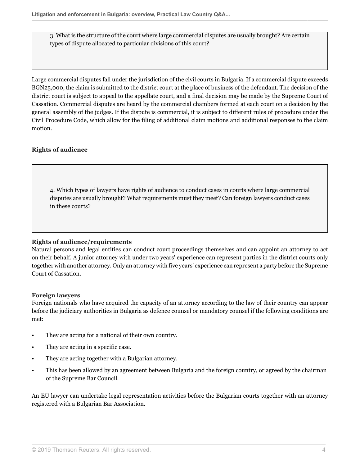3. What is the structure of the court where large commercial disputes are usually brought? Are certain types of dispute allocated to particular divisions of this court?

Large commercial disputes fall under the jurisdiction of the civil courts in Bulgaria. If a commercial dispute exceeds BGN25,000, the claim is submitted to the district court at the place of business of the defendant. The decision of the district court is subject to appeal to the appellate court, and a final decision may be made by the Supreme Court of Cassation. Commercial disputes are heard by the commercial chambers formed at each court on a decision by the general assembly of the judges. If the dispute is commercial, it is subject to different rules of procedure under the Civil Procedure Code, which allow for the filing of additional claim motions and additional responses to the claim motion.

# **Rights of audience**

4. Which types of lawyers have rights of audience to conduct cases in courts where large commercial disputes are usually brought? What requirements must they meet? Can foreign lawyers conduct cases in these courts?

### **Rights of audience/requirements**

Natural persons and legal entities can conduct court proceedings themselves and can appoint an attorney to act on their behalf. A junior attorney with under two years' experience can represent parties in the district courts only together with another attorney. Only an attorney with five years' experience can represent a party before the Supreme Court of Cassation.

### **Foreign lawyers**

Foreign nationals who have acquired the capacity of an attorney according to the law of their country can appear before the judiciary authorities in Bulgaria as defence counsel or mandatory counsel if the following conditions are met:

- They are acting for a national of their own country.
- They are acting in a specific case.
- They are acting together with a Bulgarian attorney.
- This has been allowed by an agreement between Bulgaria and the foreign country, or agreed by the chairman of the Supreme Bar Council.

An EU lawyer can undertake legal representation activities before the Bulgarian courts together with an attorney registered with a Bulgarian Bar Association.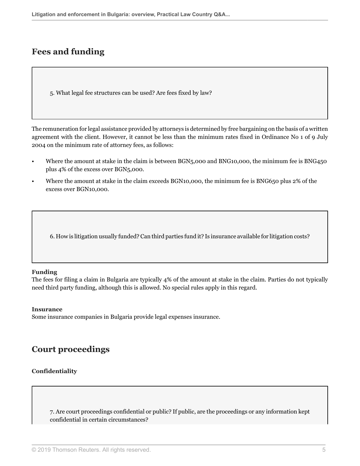# **Fees and funding**

<span id="page-4-0"></span>5. What legal fee structures can be used? Are fees fixed by law?

The remuneration for legal assistance provided by attorneys is determined by free bargaining on the basis of a written agreement with the client. However, it cannot be less than the minimum rates fixed in Ordinance No 1 of 9 July 2004 on the minimum rate of attorney fees, as follows:

- Where the amount at stake in the claim is between BGN5,000 and BNG10,000, the minimum fee is BNG450 plus 4% of the excess over BGN5,000.
- Where the amount at stake in the claim exceeds BGN10,000, the minimum fee is BNG650 plus 2% of the excess over BGN10,000.

6. How is litigation usually funded? Can third parties fund it? Is insurance available for litigation costs?

### **Funding**

The fees for filing a claim in Bulgaria are typically 4% of the amount at stake in the claim. Parties do not typically need third party funding, although this is allowed. No special rules apply in this regard.

#### **Insurance**

Some insurance companies in Bulgaria provide legal expenses insurance.

# **Court proceedings**

### **Confidentiality**

7. Are court proceedings confidential or public? If public, are the proceedings or any information kept confidential in certain circumstances?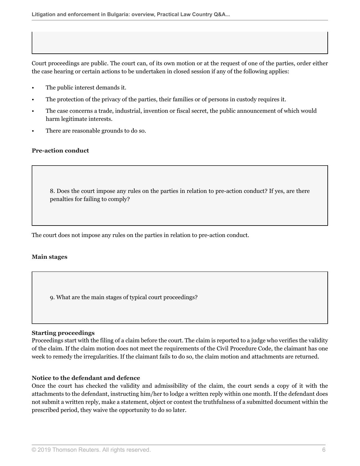Court proceedings are public. The court can, of its own motion or at the request of one of the parties, order either the case hearing or certain actions to be undertaken in closed session if any of the following applies:

- The public interest demands it.
- The protection of the privacy of the parties, their families or of persons in custody requires it.
- The case concerns a trade, industrial, invention or fiscal secret, the public announcement of which would harm legitimate interests.
- There are reasonable grounds to do so.

### **Pre-action conduct**

8. Does the court impose any rules on the parties in relation to pre-action conduct? If yes, are there penalties for failing to comply?

The court does not impose any rules on the parties in relation to pre-action conduct.

#### **Main stages**

9. What are the main stages of typical court proceedings?

#### **Starting proceedings**

Proceedings start with the filing of a claim before the court. The claim is reported to a judge who verifies the validity of the claim. If the claim motion does not meet the requirements of the Civil Procedure Code, the claimant has one week to remedy the irregularities. If the claimant fails to do so, the claim motion and attachments are returned.

# **Notice to the defendant and defence**

Once the court has checked the validity and admissibility of the claim, the court sends a copy of it with the attachments to the defendant, instructing him/her to lodge a written reply within one month. If the defendant does not submit a written reply, make a statement, object or contest the truthfulness of a submitted document within the prescribed period, they waive the opportunity to do so later.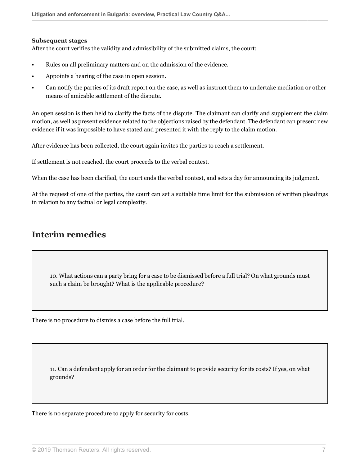### **Subsequent stages**

After the court verifies the validity and admissibility of the submitted claims, the court:

- Rules on all preliminary matters and on the admission of the evidence.
- Appoints a hearing of the case in open session.
- Can notify the parties of its draft report on the case, as well as instruct them to undertake mediation or other means of amicable settlement of the dispute.

An open session is then held to clarify the facts of the dispute. The claimant can clarify and supplement the claim motion, as well as present evidence related to the objections raised by the defendant. The defendant can present new evidence if it was impossible to have stated and presented it with the reply to the claim motion.

After evidence has been collected, the court again invites the parties to reach a settlement.

If settlement is not reached, the court proceeds to the verbal contest.

When the case has been clarified, the court ends the verbal contest, and sets a day for announcing its judgment.

At the request of one of the parties, the court can set a suitable time limit for the submission of written pleadings in relation to any factual or legal complexity.

# **Interim remedies**

10. What actions can a party bring for a case to be dismissed before a full trial? On what grounds must such a claim be brought? What is the applicable procedure?

There is no procedure to dismiss a case before the full trial.

11. Can a defendant apply for an order for the claimant to provide security for its costs? If yes, on what grounds?

There is no separate procedure to apply for security for costs.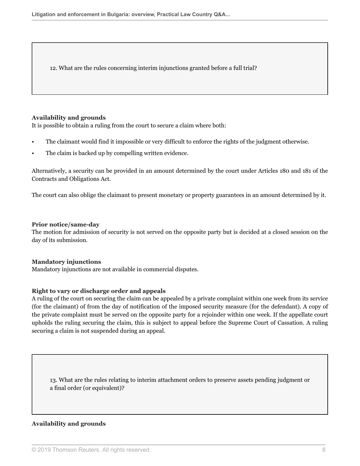12. What are the rules concerning interim injunctions granted before a full trial?

### <span id="page-7-0"></span>**Availability and grounds**

It is possible to obtain a ruling from the court to secure a claim where both:

- The claimant would find it impossible or very difficult to enforce the rights of the judgment otherwise.
- The claim is backed up by compelling written evidence.

Alternatively, a security can be provided in an amount determined by the court under Articles 180 and 181 of the Contracts and Obligations Act.

<span id="page-7-1"></span>The court can also oblige the claimant to present monetary or property guarantees in an amount determined by it.

### **Prior notice/same-day**

The motion for admission of security is not served on the opposite party but is decided at a closed session on the day of its submission.

### **Mandatory injunctions**

Mandatory injunctions are not available in commercial disputes.

# **Right to vary or discharge order and appeals**

A ruling of the court on securing the claim can be appealed by a private complaint within one week from its service (for the claimant) of from the day of notification of the imposed security measure (for the defendant). A copy of the private complaint must be served on the opposite party for a rejoinder within one week. If the appellate court upholds the ruling securing the claim, this is subject to appeal before the Supreme Court of Cassation. A ruling securing a claim is not suspended during an appeal.

13. What are the rules relating to interim attachment orders to preserve assets pending judgment or a final order (or equivalent)?

### **Availability and grounds**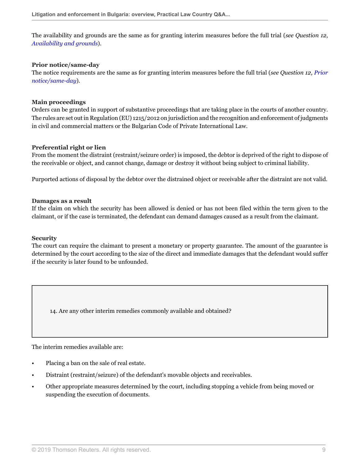The availability and grounds are the same as for granting interim measures before the full trial (*see Question 12*, *[Availability and grounds](#page-7-0)*).

### **Prior notice/same-day**

The notice requirements are the same as for granting interim measures before the full trial (*see Question 12, [Prior](#page-7-1) [notice/same-day](#page-7-1)*).

### **Main proceedings**

Orders can be granted in support of substantive proceedings that are taking place in the courts of another country. The rules are set out in Regulation (EU) 1215/2012 on jurisdiction and the recognition and enforcement of judgments in civil and commercial matters or the Bulgarian Code of Private International Law.

### **Preferential right or lien**

From the moment the distraint (restraint/seizure order) is imposed, the debtor is deprived of the right to dispose of the receivable or object, and cannot change, damage or destroy it without being subject to criminal liability.

Purported actions of disposal by the debtor over the distrained object or receivable after the distraint are not valid.

### **Damages as a result**

If the claim on which the security has been allowed is denied or has not been filed within the term given to the claimant, or if the case is terminated, the defendant can demand damages caused as a result from the claimant.

#### **Security**

The court can require the claimant to present a monetary or property guarantee. The amount of the guarantee is determined by the court according to the size of the direct and immediate damages that the defendant would suffer if the security is later found to be unfounded.

14. Are any other interim remedies commonly available and obtained?

The interim remedies available are:

- Placing a ban on the sale of real estate.
- Distraint (restraint/seizure) of the defendant's movable objects and receivables.
- Other appropriate measures determined by the court, including stopping a vehicle from being moved or suspending the execution of documents.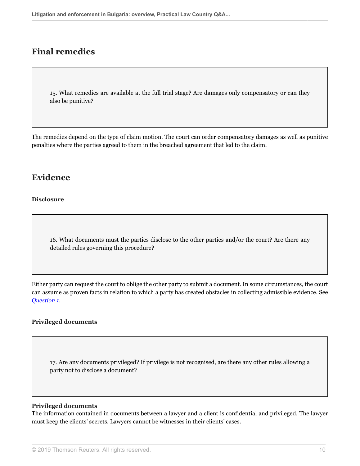# **Final remedies**

15. What remedies are available at the full trial stage? Are damages only compensatory or can they also be punitive?

The remedies depend on the type of claim motion. The court can order compensatory damages as well as punitive penalties where the parties agreed to them in the breached agreement that led to the claim.

# **Evidence**

### **Disclosure**

16. What documents must the parties disclose to the other parties and/or the court? Are there any detailed rules governing this procedure?

Either party can request the court to oblige the other party to submit a document. In some circumstances, the court can assume as proven facts in relation to which a party has created obstacles in collecting admissible evidence. See *[Question 1](#page-0-0)*.

### **Privileged documents**

17. Are any documents privileged? If privilege is not recognised, are there any other rules allowing a party not to disclose a document?

#### **Privileged documents**

The information contained in documents between a lawyer and a client is confidential and privileged. The lawyer must keep the clients' secrets. Lawyers cannot be witnesses in their clients' cases.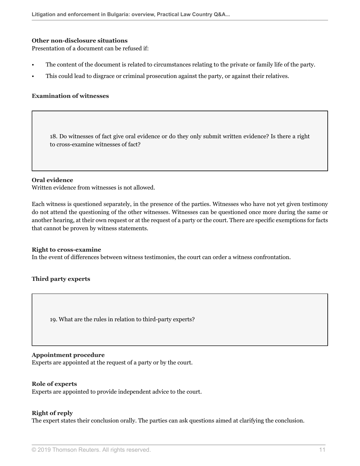#### **Other non-disclosure situations**

Presentation of a document can be refused if:

- The content of the document is related to circumstances relating to the private or family life of the party.
- This could lead to disgrace or criminal prosecution against the party, or against their relatives.

### **Examination of witnesses**

18. Do witnesses of fact give oral evidence or do they only submit written evidence? Is there a right to cross-examine witnesses of fact?

#### **Oral evidence**

Written evidence from witnesses is not allowed.

Each witness is questioned separately, in the presence of the parties. Witnesses who have not yet given testimony do not attend the questioning of the other witnesses. Witnesses can be questioned once more during the same or another hearing, at their own request or at the request of a party or the court. There are specific exemptions for facts that cannot be proven by witness statements.

#### **Right to cross-examine**

In the event of differences between witness testimonies, the court can order a witness confrontation.

#### **Third party experts**

19. What are the rules in relation to third-party experts?

#### **Appointment procedure**

Experts are appointed at the request of a party or by the court.

#### **Role of experts**

Experts are appointed to provide independent advice to the court.

#### **Right of reply**

The expert states their conclusion orally. The parties can ask questions aimed at clarifying the conclusion.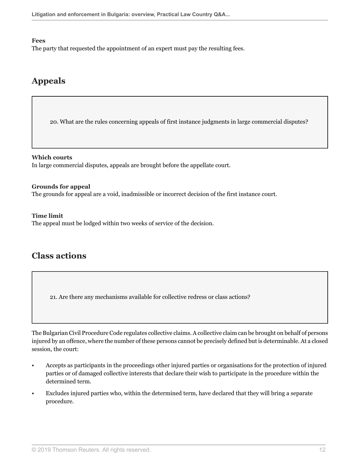### **Fees**

The party that requested the appointment of an expert must pay the resulting fees.

# **Appeals**

20. What are the rules concerning appeals of first instance judgments in large commercial disputes?

**Which courts** In large commercial disputes, appeals are brought before the appellate court.

### **Grounds for appeal**

The grounds for appeal are a void, inadmissible or incorrect decision of the first instance court.

### **Time limit**

The appeal must be lodged within two weeks of service of the decision.

# **Class actions**

21. Are there any mechanisms available for collective redress or class actions?

The Bulgarian Civil Procedure Code regulates collective claims. A collective claim can be brought on behalf of persons injured by an offence, where the number of these persons cannot be precisely defined but is determinable. At a closed session, the court:

- Accepts as participants in the proceedings other injured parties or organisations for the protection of injured parties or of damaged collective interests that declare their wish to participate in the procedure within the determined term.
- Excludes injured parties who, within the determined term, have declared that they will bring a separate procedure.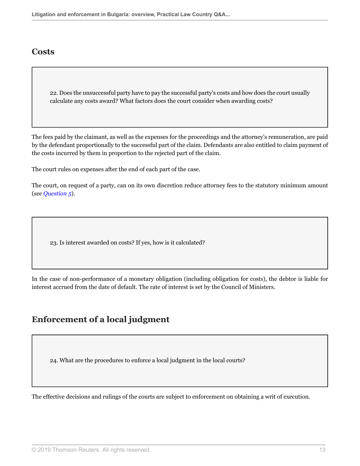# **Costs**

22. Does the unsuccessful party have to pay the successful party's costs and how does the court usually calculate any costs award? What factors does the court consider when awarding costs?

The fees paid by the claimant, as well as the expenses for the proceedings and the attorney's remuneration, are paid by the defendant proportionally to the successful part of the claim. Defendants are also entitled to claim payment of the costs incurred by them in proportion to the rejected part of the claim.

The court rules on expenses after the end of each part of the case.

The court, on request of a party, can on its own discretion reduce attorney fees to the statutory minimum amount (*see [Question 5](#page-4-0)*).

23. Is interest awarded on costs? If yes, how is it calculated?

In the case of non-performance of a monetary obligation (including obligation for costs), the debtor is liable for interest accrued from the date of default. The rate of interest is set by the Council of Ministers.

# **Enforcement of a local judgment**

24. What are the procedures to enforce a local judgment in the local courts?

The effective decisions and rulings of the courts are subject to enforcement on obtaining a writ of execution.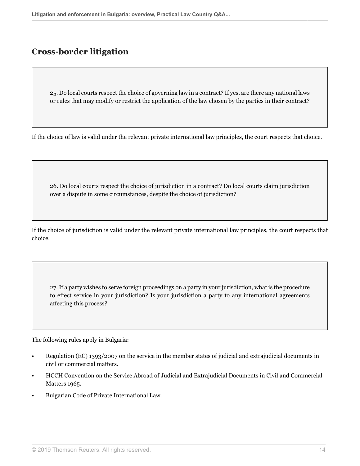# **Cross-border litigation**

25. Do local courts respect the choice of governing law in a contract? If yes, are there any national laws or rules that may modify or restrict the application of the law chosen by the parties in their contract?

If the choice of law is valid under the relevant private international law principles, the court respects that choice.

26. Do local courts respect the choice of jurisdiction in a contract? Do local courts claim jurisdiction over a dispute in some circumstances, despite the choice of jurisdiction?

If the choice of jurisdiction is valid under the relevant private international law principles, the court respects that choice.

27. If a party wishes to serve foreign proceedings on a party in your jurisdiction, what is the procedure to effect service in your jurisdiction? Is your jurisdiction a party to any international agreements affecting this process?

The following rules apply in Bulgaria:

- Regulation (EC) 1393/2007 on the service in the member states of judicial and extrajudicial documents in civil or commercial matters.
- HCCH Convention on the Service Abroad of Judicial and Extrajudicial Documents in Civil and Commercial Matters 1965.
- Bulgarian Code of Private International Law.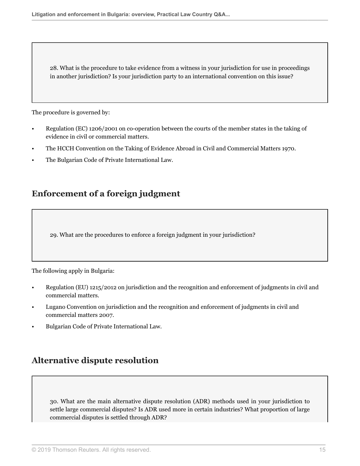28. What is the procedure to take evidence from a witness in your jurisdiction for use in proceedings in another jurisdiction? Is your jurisdiction party to an international convention on this issue?

The procedure is governed by:

- Regulation (EC) 1206/2001 on co-operation between the courts of the member states in the taking of evidence in civil or commercial matters.
- The HCCH Convention on the Taking of Evidence Abroad in Civil and Commercial Matters 1970.
- The Bulgarian Code of Private International Law.

# **Enforcement of a foreign judgment**

29. What are the procedures to enforce a foreign judgment in your jurisdiction?

The following apply in Bulgaria:

- Regulation (EU) 1215/2012 on jurisdiction and the recognition and enforcement of judgments in civil and commercial matters.
- Lugano Convention on jurisdiction and the recognition and enforcement of judgments in civil and commercial matters 2007.
- Bulgarian Code of Private International Law.

# **Alternative dispute resolution**

30. What are the main alternative dispute resolution (ADR) methods used in your jurisdiction to settle large commercial disputes? Is ADR used more in certain industries? What proportion of large commercial disputes is settled through ADR?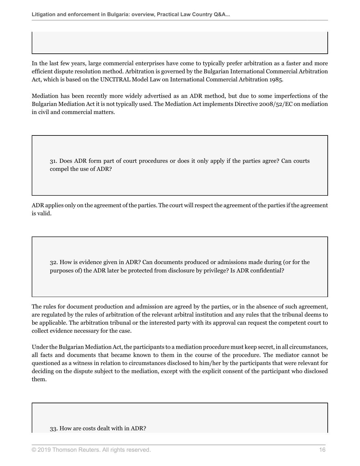In the last few years, large commercial enterprises have come to typically prefer arbitration as a faster and more efficient dispute resolution method. Arbitration is governed by the Bulgarian International Commercial Arbitration Act, which is based on the UNCITRAL Model Law on International Commercial Arbitration 1985.

Mediation has been recently more widely advertised as an ADR method, but due to some imperfections of the Bulgarian Mediation Act it is not typically used. The Mediation Act implements Directive 2008/52/EC on mediation in civil and commercial matters.

31. Does ADR form part of court procedures or does it only apply if the parties agree? Can courts compel the use of ADR?

ADR applies only on the agreement of the parties. The court will respect the agreement of the parties if the agreement is valid.

32. How is evidence given in ADR? Can documents produced or admissions made during (or for the purposes of) the ADR later be protected from disclosure by privilege? Is ADR confidential?

The rules for document production and admission are agreed by the parties, or in the absence of such agreement, are regulated by the rules of arbitration of the relevant arbitral institution and any rules that the tribunal deems to be applicable. The arbitration tribunal or the interested party with its approval can request the competent court to collect evidence necessary for the case.

Under the Bulgarian Mediation Act, the participants to a mediation procedure must keep secret, in all circumstances, all facts and documents that became known to them in the course of the procedure. The mediator cannot be questioned as a witness in relation to circumstances disclosed to him/her by the participants that were relevant for deciding on the dispute subject to the mediation, except with the explicit consent of the participant who disclosed them.

#### 33. How are costs dealt with in ADR?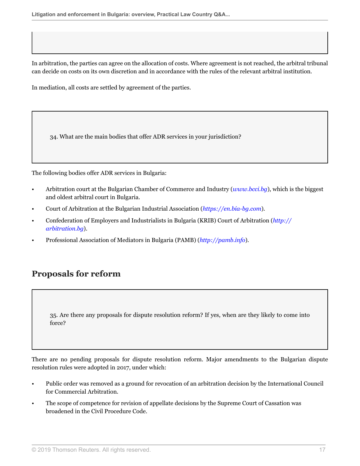In arbitration, the parties can agree on the allocation of costs. Where agreement is not reached, the arbitral tribunal can decide on costs on its own discretion and in accordance with the rules of the relevant arbitral institution.

In mediation, all costs are settled by agreement of the parties.

34. What are the main bodies that offer ADR services in your jurisdiction?

The following bodies offer ADR services in Bulgaria:

- Arbitration court at the Bulgarian Chamber of Commerce and Industry (*[www.bcci.bg](http://www.bcci.bg)*), which is the biggest and oldest arbitral court in Bulgaria.
- Court of Arbitration at the Bulgarian Industrial Association (*[https://en.bia-bg.com](https://en.bia-bg.com )*).
- Confederation of Employers and Industrialists in Bulgaria (KRIB) Court of Arbitration (*[http://](http://arbitration.bg) [arbitration.bg](http://arbitration.bg)*).
- Professional Association of Mediators in Bulgaria (PAMB) (*<http://pamb.info>*).

# **Proposals for reform**

35. Are there any proposals for dispute resolution reform? If yes, when are they likely to come into force?

There are no pending proposals for dispute resolution reform. Major amendments to the Bulgarian dispute resolution rules were adopted in 2017, under which:

- Public order was removed as a ground for revocation of an arbitration decision by the International Council for Commercial Arbitration.
- The scope of competence for revision of appellate decisions by the Supreme Court of Cassation was broadened in the Civil Procedure Code.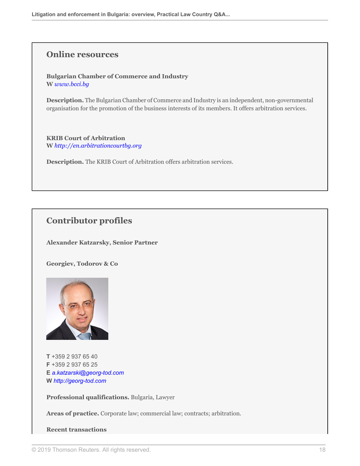# **Online resources**

**Bulgarian Chamber of Commerce and Industry W** *[www.bcci.bg](http://www.bcci.bg)*

**Description.** The Bulgarian Chamber of Commerce and Industry is an independent, non-governmental organisation for the promotion of the business interests of its members. It offers arbitration services.

**KRIB Court of Arbitration W** *<http://en.arbitrationcourtbg.org>*

**Description.** The KRIB Court of Arbitration offers arbitration services.

# **Contributor profiles**

**Alexander Katzarsky, Senior Partner**

**Georgiev, Todorov & Co**



**T** +359 2 937 65 40 **F** +359 2 937 65 25 **E** *[a.katzarski@georg-tod.com](mailto:a.katzarski@georg-tod.com)* **W** *<http://georg-tod.com>*

**Professional qualifications.** Bulgaria, Lawyer

**Areas of practice.** Corporate law; commercial law; contracts; arbitration.

### **Recent transactions**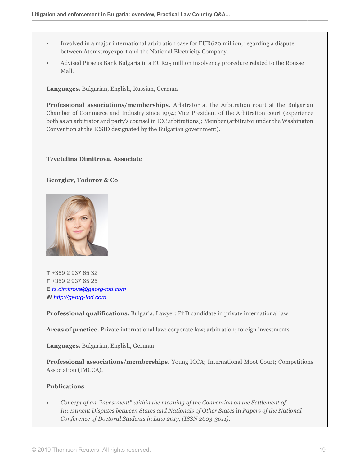- Involved in a major international arbitration case for EUR620 million, regarding a dispute between Atomstroyexport and the National Electricity Company.
- Advised Piraeus Bank Bulgaria in a EUR25 million insolvency procedure related to the Rousse Mall.

**Languages.** Bulgarian, English, Russian, German

**Professional associations/memberships.** Arbitrator at the Arbitration court at the Bulgarian Chamber of Commerce and Industry since 1994; Vice President of the Arbitration court (experience both as an arbitrator and party's counsel in ICC arbitrations); Member (arbitrator under the Washington Convention at the ICSID designated by the Bulgarian government).

### **Tzvetelina Dimitrova, Associate**

**Georgiev, Todorov & Co**



**T** +359 2 937 65 32 **F** +359 2 937 65 25 **E** *[tz.dimitrova@georg-tod.com](mailto:tz.dimitrova@georg-tod.com)* **W** *<http://georg-tod.com>*

**Professional qualifications.** Bulgaria, Lawyer; PhD candidate in private international law

**Areas of practice.** Private international law; corporate law; arbitration; foreign investments.

**Languages.** Bulgarian, English, German

**Professional associations/memberships.** Young ICCA; International Moot Court; Competitions Association (IMCCA).

# **Publications**

• *Concept of an "investment" within the meaning of the Convention on the Settlement of Investment Disputes between States and Nationals of Other States* in *Papers of the National Conference of Doctoral Students in Law 2017, (ISSN 2603-3011)*.